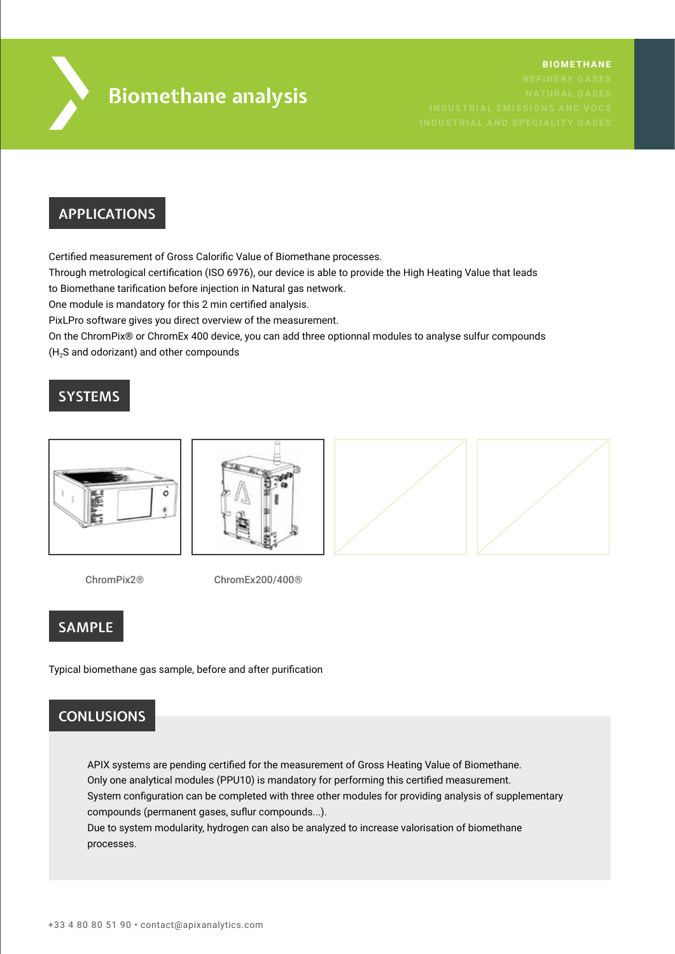

# **Biomethane analysis**

## **APPLICATIONS**

Certified measurement of Gross Calorific Value of Biomethane processes.

Through metrological certification (ISO 6976), our device is able to provide the High Heating Value that leads

to Biomethane tarification before injection in Natural gas network.

One module is mandatory for this 2 min certified analysis.

PixLPro software gives you direct overview of the measurement.

On the ChromPix® or ChromEx 400 device, you can add three optionnal modules to analyse sulfur compounds

(H2S and odorizant) and other compounds

# **SYSTEMS**



ChromPix2® ChromEx200/400®

# **SAMPLE**

Typical biomethane gas sample, before and after purification

# **CONLUSIONS**

APIX systems are pending certified for the measurement of Gross Heating Value of Biomethane. Only one analytical modules (PPU10) is mandatory for performing this certified measurement. System configuration can be completed with three other modules for providing analysis of supplementary compounds (permanent gases, suflur compounds...). Due to system modularity, hydrogen can also be analyzed to increase valorisation of biomethane processes.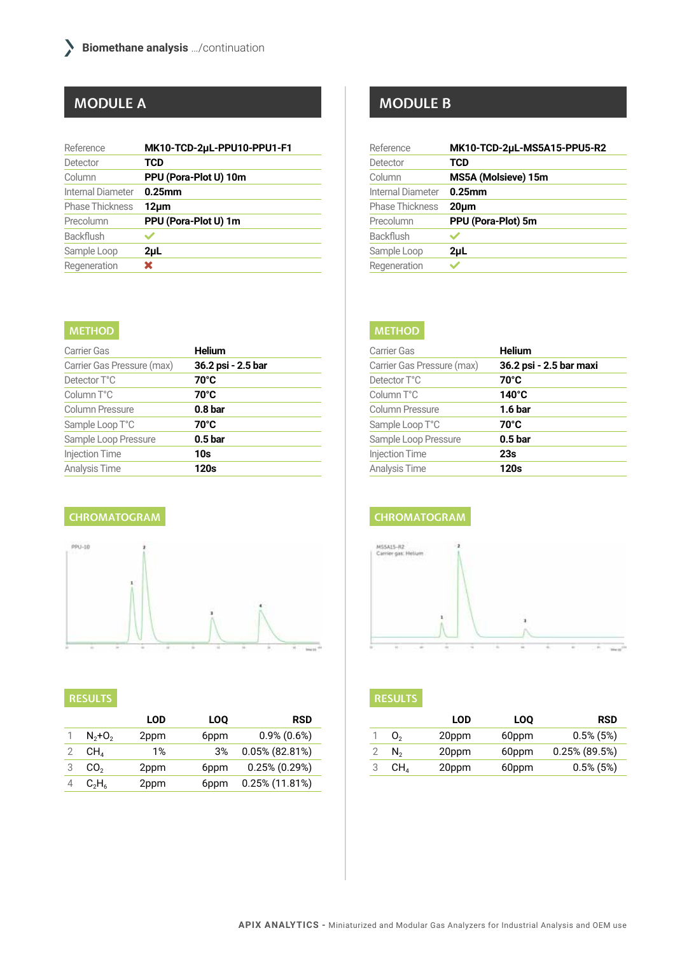| Reference              | MK10-TCD-2uL-PPU10-PPU1-F1 |
|------------------------|----------------------------|
| Detector               | TCD                        |
| Column                 | PPU (Pora-Plot U) 10m      |
| Internal Diameter      | $0.25$ mm                  |
| <b>Phase Thickness</b> | 12um                       |
| Precolumn              | PPU (Pora-Plot U) 1m       |
| <b>Backflush</b>       |                            |
| Sample Loop            | 2 <sub>µ</sub>             |
| Regeneration           | x                          |

#### **METHOD**

| <b>Carrier Gas</b>         | <b>Helium</b>      |
|----------------------------|--------------------|
| Carrier Gas Pressure (max) | 36.2 psi - 2.5 bar |
| Detector T°C               | 70°C               |
| Column T°C                 | 70°C               |
| <b>Column Pressure</b>     | 0.8 <sub>bar</sub> |
| Sample Loop T°C            | 70°C               |
| Sample Loop Pressure       | 0.5 <sub>bar</sub> |
| <b>Injection Time</b>      | 10s                |
| <b>Analysis Time</b>       | 120s               |

#### **CHROMATOGRAM**



#### **RESULTS**

|                 | <b>LOD</b> | LOO  | <b>RSD</b>        |
|-----------------|------------|------|-------------------|
| $N_{2}+O_{2}$   | 2ppm       | 6ppm | $0.9\%$ (0.6%)    |
| CH <sub>A</sub> | 1%         | 3%   | 0.05% (82.81%)    |
| CO <sub>2</sub> | 2ppm       | 6ppm | $0.25\%$ (0.29%)  |
| $C_2H_6$        | 2ppm       | 6ppm | $0.25\%$ (11.81%) |

# **MODULE A MODULE B**

| Reference              | MK10-TCD-2uL-MS5A15-PPU5-R2 |
|------------------------|-----------------------------|
| Detector               | TCD                         |
| Column                 | MS5A (Molsieve) 15m         |
| Internal Diameter      | $0.25$ mm                   |
| <b>Phase Thickness</b> | 20um                        |
| Precolumn              | PPU (Pora-Plot) 5m          |
| <b>Backflush</b>       |                             |
| Sample Loop            | $2\mu$ L                    |
| Regeneration           |                             |

### **METHOD**

| Carrier Gas                | <b>Helium</b>           |
|----------------------------|-------------------------|
| Carrier Gas Pressure (max) | 36.2 psi - 2.5 bar maxi |
| Detector T°C               | 70°C                    |
| Column T°C                 | $140^\circ C$           |
| <b>Column Pressure</b>     | 1.6 <sub>bar</sub>      |
| Sample Loop T°C            | 70°C                    |
| Sample Loop Pressure       | 0.5 <sub>bar</sub>      |
| <b>Injection Time</b>      | 23s                     |
| Analysis Time              | 120s                    |

#### **CHROMATOGRAM**



### **RESULTS**

|   |                 | LOD   | <b>LOO</b> | <b>RSD</b>       |
|---|-----------------|-------|------------|------------------|
|   | O <sub>2</sub>  | 20ppm | 60ppm      | $0.5\%$ (5%)     |
|   | $N_{2}$         | 20ppm | 60ppm      | $0.25\%$ (89.5%) |
| 3 | CH <sub>a</sub> | 20ppm | 60ppm      | $0.5\%$ (5%)     |